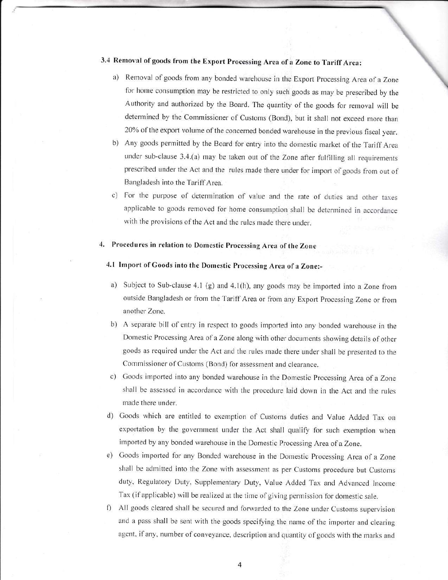## 3.4 Removal of goods from the Export Processing Area of a Zone to Tariff Area:

- a) Removal of goods from any bonded warehouse in the Export Processing Area of a Zone for home consumption may be restricted to only such goods as may be prescribed by the Authority and authorized by the Board. The quantity of the goods for removal will be deterrnined by the Commissioner of Customs (Bond), but it shall not exceed more than 20% of the export volume of the concerned bonded warehouse in the previous fiscal year.
- b) Any goods permitted by the Board for entry into the domestic market of the Tariff Area under sub-clause  $3.4$ .(a) may be taken out of the Zone after fulfilling all requirements prescribed under the Act and the rules made there under for import of goods from out of Bangladesh into the Tariff Area.
- c) For the purpose of determination of value and the rate of duties and other taxes applicable to goods removed for home consumption shall be determined in accordance with the provisions of the Act and the rules made there under.

### 4, Procedures in relation to Domestic Processing Area of the zone

### 4.1 Import of Goods into the Domestic Processing Area of a zone:-

- a) Subject to Sub-clause 4.1 (g) and 4.1(h), any goods may be imported into a Zone from outside Bangladesh or from the Tariff Area or from any Export Processing Zone or from another Zone.
- b) A separate bill of entry in respect to goods imported into any bonded warehouse in the Domestic Processing Area of a Zone along with other documents showing details of other goods as required under the Act and the rules made there under shall be presented to the Commissioner of Customs (Bond) for assessment and clearance.
- c) Goods imported into any bonded warehouse in the Domestic Processing Area of a Zone shall be assessed in accordance with the procedure laid down in the Act and the rules made there under.
- d) Goods which are entitled to exemption of Customs duties and Value Added Tax on exportation by the government under the Act shall qualify for such exemption when imported by any bonded warehouse in the Domestic Processing Area of a Zone.
- Goods imported for any Bonded warehouse in the Domestic Processing Area of a Zone shall be admitted into the Zone with assessment as per Customs procedure but Customs duty, Regulatory Duty, Supplementary Duty, Value Added Tax and Advanced Income Tax (if applicable) will be realized at the time of giving permission for domestic sale.
- f) All goods cleared shall be secured and forwarded to the Zone under Customs supervision and a pass shall be sent with the goods specifying the name of the importer and clearing agent, if any, number of conveyance, description and quantity of goods with the marks and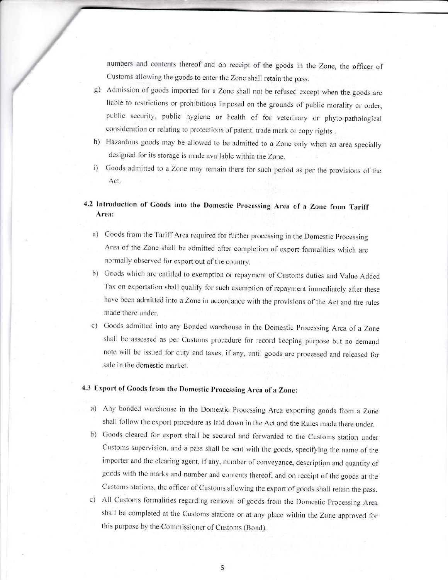numbers and contents thereof and on receipt of the goods in the Zone, the officer of Customs allowing the goods to enter the Zone shall retain the pass.

- g) Admission of goods imported for a Zone shall not be refused except when the goods are liable to restrictions or prohibitions imposed on the grounds of public morality or order, public security, public hygiene or health of for veterinary or phyto-pathological consideration or relating to protections of patent, trade mark or copy rights.
- h) Hazardous goods may be allowed to be admitted to a Zone only when an area specially designed for its storage is made available within the Zone.
- Goods admitted to a Zone may remain there for such period as per the provisions of the  $\mathbf{i}$ Act.

# 4.2 Introduction of Goods into the Domestic Processing Area of a Zone from Tariff Area:

- a) Goods from the Tariff Area required for further processing in the Domestic Processing Area of the Zone shall be admitted after completion of export formalities which are normally observed for export out of the country.
- b) Goods which are entitled to exemption or repayment of Customs duties and Value Added Tax on exportation shall qualify for such exemption of repayment immediately after these have been admitted into a Zone in accordance with the provisions of the Act and the rules made there under.
- c) Goods admitted into any Bonded warehouse in the Domestic Processing Area of a Zone shall be assessed as per Customs procedure for record keeping purpose but no demand note will be issued for duty and taxes, if any, until goods are processed and released for sale in the domestic market.

# 4.3 Export of Goods from the Domestic Processing Area of a Zone:

- a) Any bonded warehouse in the Domestic Processing Area exporting goods from a Zone shall follow the export procedure as laid down in the Act and the Rules made there under.
- b) Goods cleared for export shall be secured and forwarded to the Customs station under Customs supervision, and a pass shall be sent with the goods, specifying the name of the importer and the clearing agent, if any, number of conveyance, description and quantity of goods with the marks and number and contents thereof, and on receipt of the goods at the Customs stations, the officer of Customs allowing the export of goods shall retain the pass.
- c) All Customs formalities regarding removal of goods from the Domestic Processing Area shall be completed at the Customs stations or at any place within the Zone approved for this purpose by the Commissioner of Customs (Bond).